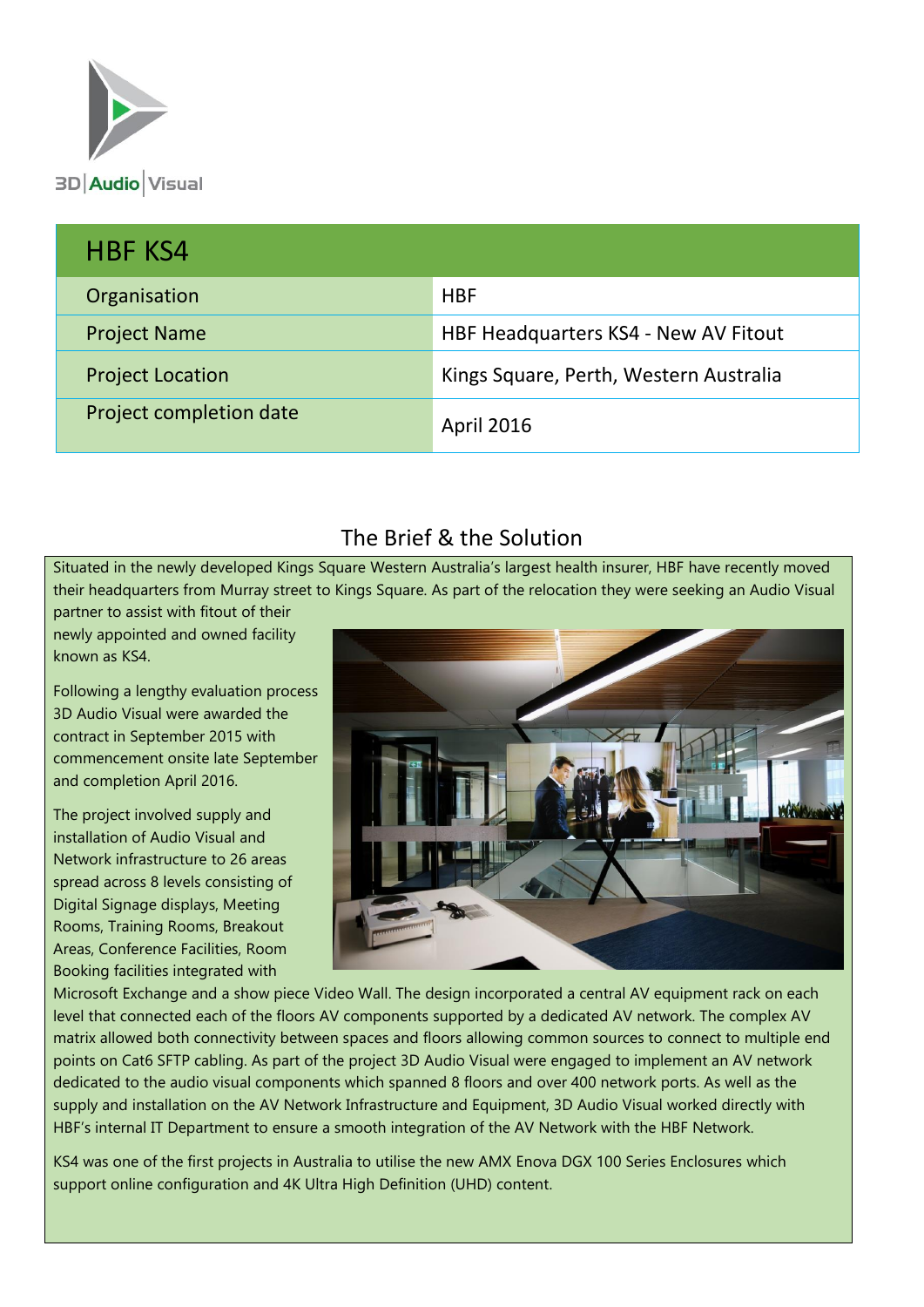

| <b>HBF KS4</b>          |                                        |
|-------------------------|----------------------------------------|
| Organisation            | <b>HBF</b>                             |
| <b>Project Name</b>     | HBF Headquarters KS4 - New AV Fitout   |
| <b>Project Location</b> | Kings Square, Perth, Western Australia |
| Project completion date | <b>April 2016</b>                      |

# The Brief & the Solution

Situated in the newly developed Kings Square Western Australia's largest health insurer, HBF have recently moved their headquarters from Murray street to Kings Square. As part of the relocation they were seeking an Audio Visual partner to assist with fitout of their

newly appointed and owned facility known as KS4.

Following a lengthy evaluation process 3D Audio Visual were awarded the contract in September 2015 with commencement onsite late September and completion April 2016.

The project involved supply and installation of Audio Visual and Network infrastructure to 26 areas spread across 8 levels consisting of Digital Signage displays, Meeting Rooms, Training Rooms, Breakout Areas, Conference Facilities, Room Booking facilities integrated with



Microsoft Exchange and a show piece Video Wall. The design incorporated a central AV equipment rack on each level that connected each of the floors AV components supported by a dedicated AV network. The complex AV matrix allowed both connectivity between spaces and floors allowing common sources to connect to multiple end points on Cat6 SFTP cabling. As part of the project 3D Audio Visual were engaged to implement an AV network dedicated to the audio visual components which spanned 8 floors and over 400 network ports. As well as the supply and installation on the AV Network Infrastructure and Equipment, 3D Audio Visual worked directly with HBF's internal IT Department to ensure a smooth integration of the AV Network with the HBF Network.

KS4 was one of the first projects in Australia to utilise the new AMX Enova DGX 100 Series Enclosures which support online configuration and 4K Ultra High Definition (UHD) content.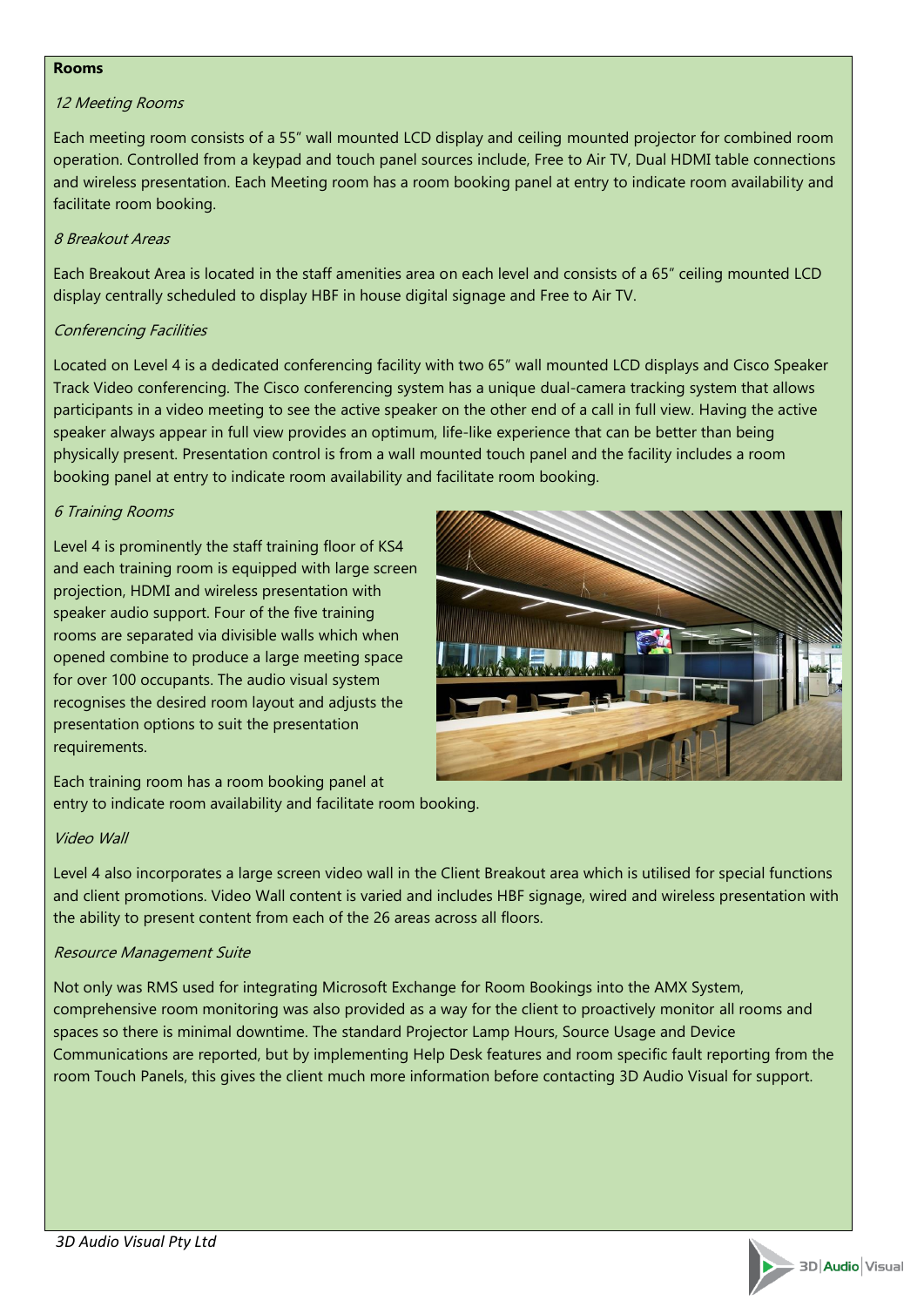#### **Rooms**

#### 12 Meeting Rooms

Each meeting room consists of a 55" wall mounted LCD display and ceiling mounted projector for combined room operation. Controlled from a keypad and touch panel sources include, Free to Air TV, Dual HDMI table connections and wireless presentation. Each Meeting room has a room booking panel at entry to indicate room availability and facilitate room booking.

#### 8 Breakout Areas

Each Breakout Area is located in the staff amenities area on each level and consists of a 65" ceiling mounted LCD display centrally scheduled to display HBF in house digital signage and Free to Air TV.

#### Conferencing Facilities

Located on Level 4 is a dedicated conferencing facility with two 65" wall mounted LCD displays and Cisco Speaker Track Video conferencing. The Cisco conferencing system has a unique dual-camera tracking system that allows participants in a video meeting to see the active speaker on the other end of a call in full view. Having the active speaker always appear in full view provides an optimum, life-like experience that can be better than being physically present. Presentation control is from a wall mounted touch panel and the facility includes a room booking panel at entry to indicate room availability and facilitate room booking.

### 6 Training Rooms

Level 4 is prominently the staff training floor of KS4 and each training room is equipped with large screen projection, HDMI and wireless presentation with speaker audio support. Four of the five training rooms are separated via divisible walls which when opened combine to produce a large meeting space for over 100 occupants. The audio visual system recognises the desired room layout and adjusts the presentation options to suit the presentation requirements.



Each training room has a room booking panel at entry to indicate room availability and facilitate room booking.

#### Video Wall

Level 4 also incorporates a large screen video wall in the Client Breakout area which is utilised for special functions and client promotions. Video Wall content is varied and includes HBF signage, wired and wireless presentation with the ability to present content from each of the 26 areas across all floors.

#### Resource Management Suite

Not only was RMS used for integrating Microsoft Exchange for Room Bookings into the AMX System, comprehensive room monitoring was also provided as a way for the client to proactively monitor all rooms and spaces so there is minimal downtime. The standard Projector Lamp Hours, Source Usage and Device Communications are reported, but by implementing Help Desk features and room specific fault reporting from the room Touch Panels, this gives the client much more information before contacting 3D Audio Visual for support.